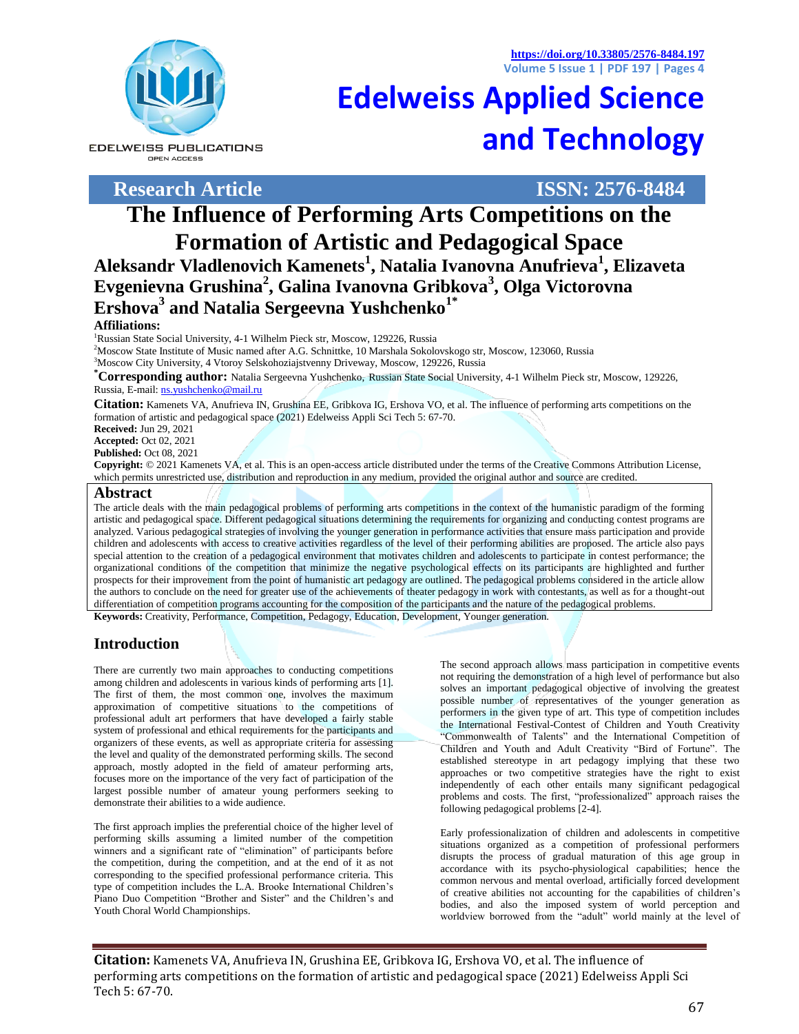**https://doi.org/10.33805/2576-8484.197 Volume 5 Issue 1 | PDF 197 | Pages 4**

**Edelweiss Applied Science** 



**EDELWEISS PUBLICATIONS** OPEN ACCESS

**Research Article ISSN: 2576-8484**

**and Technology**

# **The Influence of Performing Arts Competitions on the Formation of Artistic and Pedagogical Space**

**Aleksandr Vladlenovich Kamenets<sup>1</sup> , Natalia Ivanovna Anufrieva<sup>1</sup> , Elizaveta Evgenievna Grushina<sup>2</sup> , Galina Ivanovna Gribkova<sup>3</sup> , Olga Victorovna Ershova<sup>3</sup> and Natalia Sergeevna Yushchenko1\***

#### **Affiliations:**

<sup>1</sup>Russian State Social University, 4-1 Wilhelm Pieck str, Moscow, 129226, Russia

<sup>2</sup>Moscow State Institute of Music named after A.G. Schnittke, 10 Marshala Sokolovskogo str, Moscow, 123060, Russia

<sup>3</sup>Moscow City University, 4 Vtoroy Selskohoziajstvenny Driveway, Moscow, 129226, Russia

**\*Corresponding author:** Natalia Sergeevna Yushchenko, Russian State Social University, 4-1 Wilhelm Pieck str, Moscow, 129226, Russia, E-mail[: ns.yushchenko@mail.ru](mailto:ns.yushchenko@mail.ru)

**Citation:** Kamenets VA, Anufrieva IN, Grushina EE, Gribkova IG, Ershova VO, et al. The influence of performing arts competitions on the formation of artistic and pedagogical space (2021) Edelweiss Appli Sci Tech 5: 67-70.

**Received:** Jun 29, 2021

**Accepted:** Oct 02, 2021

**Published:** Oct 08, 2021

**Copyright:** © 2021 Kamenets VA, et al. This is an open-access article distributed under the terms of the Creative Commons Attribution License, which permits unrestricted use, distribution and reproduction in any medium, provided the original author and source are credited.

#### **Abstract**

The article deals with the main pedagogical problems of performing arts competitions in the context of the humanistic paradigm of the forming artistic and pedagogical space. Different pedagogical situations determining the requirements for organizing and conducting contest programs are analyzed. Various pedagogical strategies of involving the younger generation in performance activities that ensure mass participation and provide children and adolescents with access to creative activities regardless of the level of their performing abilities are proposed. The article also pays special attention to the creation of a pedagogical environment that motivates children and adolescents to participate in contest performance; the organizational conditions of the competition that minimize the negative psychological effects on its participants are highlighted and further prospects for their improvement from the point of humanistic art pedagogy are outlined. The pedagogical problems considered in the article allow the authors to conclude on the need for greater use of the achievements of theater pedagogy in work with contestants, as well as for a thought-out differentiation of competition programs accounting for the composition of the participants and the nature of the pedagogical problems.

**Keywords:** Creativity, Performance, Competition, Pedagogy, Education, Development, Younger generation.

## **Introduction**

There are currently two main approaches to conducting competitions among children and adolescents in various kinds of performing arts [1]. The first of them, the most common one, involves the maximum approximation of competitive situations to the competitions of professional adult art performers that have developed a fairly stable system of professional and ethical requirements for the participants and organizers of these events, as well as appropriate criteria for assessing the level and quality of the demonstrated performing skills. The second approach, mostly adopted in the field of amateur performing arts, focuses more on the importance of the very fact of participation of the largest possible number of amateur young performers seeking to demonstrate their abilities to a wide audience.

The first approach implies the preferential choice of the higher level of performing skills assuming a limited number of the competition winners and a significant rate of "elimination" of participants before the competition, during the competition, and at the end of it as not corresponding to the specified professional performance criteria. This type of competition includes the L.A. Brooke International Children's Piano Duo Competition "Brother and Sister" and the Children's and Youth Choral World Championships.

The second approach allows mass participation in competitive events not requiring the demonstration of a high level of performance but also solves an important pedagogical objective of involving the greatest possible number of representatives of the younger generation as performers in the given type of art. This type of competition includes the International Festival-Contest of Children and Youth Creativity "Commonwealth of Talents" and the International Competition of Children and Youth and Adult Creativity "Bird of Fortune". The established stereotype in art pedagogy implying that these two approaches or two competitive strategies have the right to exist independently of each other entails many significant pedagogical problems and costs. The first, "professionalized" approach raises the following pedagogical problems [2-4].

Early professionalization of children and adolescents in competitive situations organized as a competition of professional performers disrupts the process of gradual maturation of this age group in accordance with its psycho-physiological capabilities; hence the common nervous and mental overload, artificially forced development of creative abilities not accounting for the capabilities of children's bodies, and also the imposed system of world perception and worldview borrowed from the "adult" world mainly at the level of

**Citation:** Kamenets VA, Anufrieva IN, Grushina EE, Gribkova IG, Ershova VO, et al. The influence of performing arts competitions on the formation of artistic and pedagogical space (2021) Edelweiss Appli Sci Tech 5: 67-70.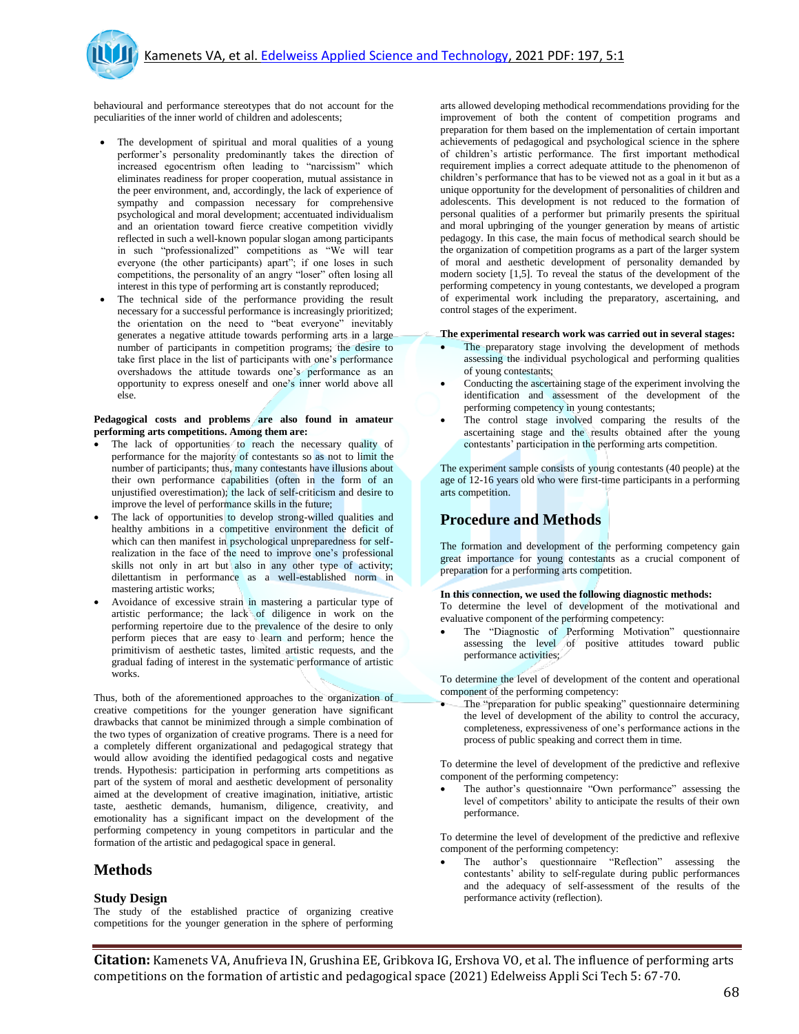

behavioural and performance stereotypes that do not account for the peculiarities of the inner world of children and adolescents;

- The development of spiritual and moral qualities of a young performer's personality predominantly takes the direction of increased egocentrism often leading to "narcissism" which eliminates readiness for proper cooperation, mutual assistance in the peer environment, and, accordingly, the lack of experience of sympathy and compassion necessary for comprehensive psychological and moral development; accentuated individualism and an orientation toward fierce creative competition vividly reflected in such a well-known popular slogan among participants in such "professionalized" competitions as "We will tear everyone (the other participants) apart"; if one loses in such competitions, the personality of an angry "loser" often losing all interest in this type of performing art is constantly reproduced;
- The technical side of the performance providing the result necessary for a successful performance is increasingly prioritized; the orientation on the need to "beat everyone" inevitably generates a negative attitude towards performing arts in a large number of participants in competition programs; the desire to take first place in the list of participants with one's performance overshadows the attitude towards one's performance as an opportunity to express oneself and one's inner world above all else.

#### **Pedagogical costs and problems are also found in amateur performing arts competitions. Among them are:**

- The lack of opportunities to reach the necessary quality of performance for the majority of contestants so as not to limit the number of participants; thus, many contestants have illusions about their own performance capabilities (often in the form of an unjustified overestimation); the lack of self-criticism and desire to improve the level of performance skills in the future;
- The lack of opportunities to develop strong-willed qualities and healthy ambitions in a competitive environment the deficit of which can then manifest in psychological unpreparedness for selfrealization in the face of the need to improve one's professional skills not only in art but also in any other type of activity; dilettantism in performance as a well-established norm in mastering artistic works;
- Avoidance of excessive strain in mastering a particular type of artistic performance; the lack of diligence in work on the performing repertoire due to the prevalence of the desire to only perform pieces that are easy to learn and perform; hence the primitivism of aesthetic tastes, limited artistic requests, and the gradual fading of interest in the systematic performance of artistic works.

Thus, both of the aforementioned approaches to the organization of creative competitions for the younger generation have significant drawbacks that cannot be minimized through a simple combination of the two types of organization of creative programs. There is a need for a completely different organizational and pedagogical strategy that would allow avoiding the identified pedagogical costs and negative trends. Hypothesis: participation in performing arts competitions as part of the system of moral and aesthetic development of personality aimed at the development of creative imagination, initiative, artistic taste, aesthetic demands, humanism, diligence, creativity, and emotionality has a significant impact on the development of the performing competency in young competitors in particular and the formation of the artistic and pedagogical space in general.

#### **Methods**

#### **Study Design**

The study of the established practice of organizing creative competitions for the younger generation in the sphere of performing arts allowed developing methodical recommendations providing for the improvement of both the content of competition programs and preparation for them based on the implementation of certain important achievements of pedagogical and psychological science in the sphere of children's artistic performance. The first important methodical requirement implies a correct adequate attitude to the phenomenon of children's performance that has to be viewed not as a goal in it but as a unique opportunity for the development of personalities of children and adolescents. This development is not reduced to the formation of personal qualities of a performer but primarily presents the spiritual and moral upbringing of the younger generation by means of artistic pedagogy. In this case, the main focus of methodical search should be the organization of competition programs as a part of the larger system of moral and aesthetic development of personality demanded by modern society [1,5]. To reveal the status of the development of the performing competency in young contestants, we developed a program of experimental work including the preparatory, ascertaining, and control stages of the experiment.

#### **The experimental research work was carried out in several stages:**

- The preparatory stage involving the development of methods assessing the individual psychological and performing qualities of young contestants;
- Conducting the ascertaining stage of the experiment involving the identification and assessment of the development of the performing competency in young contestants;
- The control stage involved comparing the results of the ascertaining stage and the results obtained after the young contestants' participation in the performing arts competition.

The experiment sample consists of young contestants (40 people) at the age of 12-16 years old who were first-time participants in a performing arts competition.

## **Procedure and Methods**

The formation and development of the performing competency gain great importance for young contestants as a crucial component of preparation for a performing arts competition.

#### **In this connection, we used the following diagnostic methods:**

To determine the level of development of the motivational and evaluative component of the performing competency:

 The "Diagnostic of Performing Motivation" questionnaire assessing the level of positive attitudes toward public performance activities;

To determine the level of development of the content and operational component of the performing competency:

 The "preparation for public speaking" questionnaire determining the level of development of the ability to control the accuracy, completeness, expressiveness of one's performance actions in the process of public speaking and correct them in time.

To determine the level of development of the predictive and reflexive component of the performing competency:

 The author's questionnaire "Own performance" assessing the level of competitors' ability to anticipate the results of their own performance.

To determine the level of development of the predictive and reflexive component of the performing competency:

 The author's questionnaire "Reflection" assessing the contestants' ability to self-regulate during public performances and the adequacy of self-assessment of the results of the performance activity (reflection).

**Citation:** Kamenets VA, Anufrieva IN, Grushina EE, Gribkova IG, Ershova VO, et al. The influence of performing arts competitions on the formation of artistic and pedagogical space (2021) Edelweiss Appli Sci Tech 5: 67-70.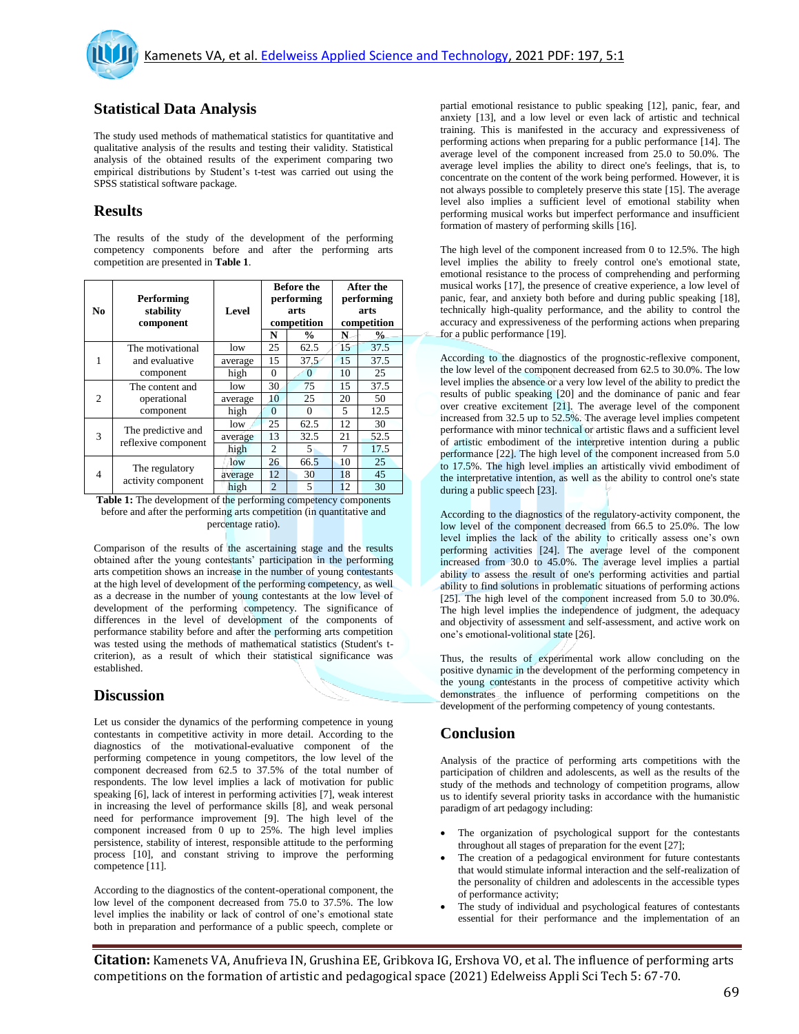# **Statistical Data Analysis**

The study used methods of mathematical statistics for quantitative and qualitative analysis of the results and testing their validity. Statistical analysis of the obtained results of the experiment comparing two empirical distributions by Student's t-test was carried out using the SPSS statistical software package.

### **Results**

The results of the study of the development of the performing competency components before and after the performing arts competition are presented in **Table 1**.

| N <sub>0</sub>               | Performing<br>stability<br>component            | Level   | <b>Before the</b><br>performing<br>arts |               | <b>After the</b><br>performing<br>arts |               |
|------------------------------|-------------------------------------------------|---------|-----------------------------------------|---------------|----------------------------------------|---------------|
|                              |                                                 |         | competition                             |               | competition                            |               |
|                              |                                                 |         | N                                       | $\frac{0}{0}$ | N                                      | $\frac{0}{0}$ |
| 1                            | The motivational<br>and evaluative<br>component | low     | 25                                      | 62.5          | 15                                     | 37.5          |
|                              |                                                 | average | 15                                      | 37.5          | 15                                     | 37.5          |
|                              |                                                 | high    | $\Omega$                                | $\Omega$      | 10                                     | 25            |
| $\overline{c}$               | The content and<br>operational<br>component     | low     | 30                                      | 75            | 15                                     | 37.5          |
|                              |                                                 | average | 10                                      | 25            | 20                                     | 50            |
|                              |                                                 | high    | $\theta$                                | $\Omega$      | 5                                      | 12.5          |
| 3                            | The predictive and<br>reflexive component       | low     | 25                                      | 62.5          | 12                                     | 30            |
|                              |                                                 | average | 13                                      | 32.5          | 21                                     | 52.5          |
|                              |                                                 | high    | $\overline{c}$                          | 5             | 7                                      | 17.5          |
| $\overline{4}$               | The regulatory<br>activity component            | low     | 26                                      | 66.5          | 10                                     | 25            |
|                              |                                                 | average | 12                                      | 30            | 18                                     | 45            |
|                              |                                                 | high    | $\overline{2}$                          | 5             | 12                                     | 30            |
| .<br>$\sim$ $\sim$<br>$\sim$ |                                                 |         |                                         |               |                                        |               |

**Table 1:** The development of the performing competency components before and after the performing arts competition (in quantitative and percentage ratio).

Comparison of the results of the ascertaining stage and the results obtained after the young contestants' participation in the performing arts competition shows an increase in the number of young contestants at the high level of development of the performing competency, as well as a decrease in the number of young contestants at the low level of development of the performing competency. The significance of differences in the level of development of the components of performance stability before and after the performing arts competition was tested using the methods of mathematical statistics (Student's tcriterion), as a result of which their statistical significance was established.

# **Discussion**

Let us consider the dynamics of the performing competence in young contestants in competitive activity in more detail. According to the diagnostics of the motivational-evaluative component of the performing competence in young competitors, the low level of the component decreased from 62.5 to 37.5% of the total number of respondents. The low level implies a lack of motivation for public speaking [6], lack of interest in performing activities [7], weak interest in increasing the level of performance skills [8], and weak personal need for performance improvement [9]. The high level of the component increased from 0 up to 25%. The high level implies persistence, stability of interest, responsible attitude to the performing process [10], and constant striving to improve the performing competence [11].

According to the diagnostics of the content-operational component, the low level of the component decreased from 75.0 to 37.5%. The low level implies the inability or lack of control of one's emotional state both in preparation and performance of a public speech, complete or partial emotional resistance to public speaking [12], panic, fear, and anxiety [13], and a low level or even lack of artistic and technical training. This is manifested in the accuracy and expressiveness of performing actions when preparing for a public performance [14]. The average level of the component increased from 25.0 to 50.0%. The average level implies the ability to direct one's feelings, that is, to concentrate on the content of the work being performed. However, it is not always possible to completely preserve this state [15]. The average level also implies a sufficient level of emotional stability when performing musical works but imperfect performance and insufficient formation of mastery of performing skills [16].

The high level of the component increased from 0 to 12.5%. The high level implies the ability to freely control one's emotional state, emotional resistance to the process of comprehending and performing musical works [17], the presence of creative experience, a low level of panic, fear, and anxiety both before and during public speaking [18], technically high-quality performance, and the ability to control the accuracy and expressiveness of the performing actions when preparing for a public performance [19].

According to the diagnostics of the prognostic-reflexive component, the low level of the component decreased from 62.5 to 30.0%. The low level implies the absence or a very low level of the ability to predict the results of public speaking [20] and the dominance of panic and fear over creative excitement [21]. The average level of the component increased from 32.5 up to 52.5%. The average level implies competent performance with minor technical or artistic flaws and a sufficient level of artistic embodiment of the interpretive intention during a public performance [22]. The high level of the component increased from 5.0 to 17.5%. The high level implies an artistically vivid embodiment of the interpretative intention, as well as the ability to control one's state during a public speech [23].

According to the diagnostics of the regulatory-activity component, the low level of the component decreased from 66.5 to 25.0%. The low level implies the lack of the ability to critically assess one's own performing activities [24]. The average level of the component increased from 30.0 to 45.0%. The average level implies a partial ability to assess the result of one's performing activities and partial ability to find solutions in problematic situations of performing actions [25]. The high level of the component increased from 5.0 to 30.0%. The high level implies the independence of judgment, the adequacy and objectivity of assessment and self-assessment, and active work on one's emotional-volitional state [26].

Thus, the results of experimental work allow concluding on the positive dynamic in the development of the performing competency in the young contestants in the process of competitive activity which demonstrates the influence of performing competitions on the development of the performing competency of young contestants.

## **Conclusion**

Analysis of the practice of performing arts competitions with the participation of children and adolescents, as well as the results of the study of the methods and technology of competition programs, allow us to identify several priority tasks in accordance with the humanistic paradigm of art pedagogy including:

- The organization of psychological support for the contestants throughout all stages of preparation for the event [27];
- The creation of a pedagogical environment for future contestants that would stimulate informal interaction and the self-realization of the personality of children and adolescents in the accessible types of performance activity;
- The study of individual and psychological features of contestants essential for their performance and the implementation of an

**Citation:** Kamenets VA, Anufrieva IN, Grushina EE, Gribkova IG, Ershova VO, et al. The influence of performing arts competitions on the formation of artistic and pedagogical space (2021) Edelweiss Appli Sci Tech 5: 67-70.